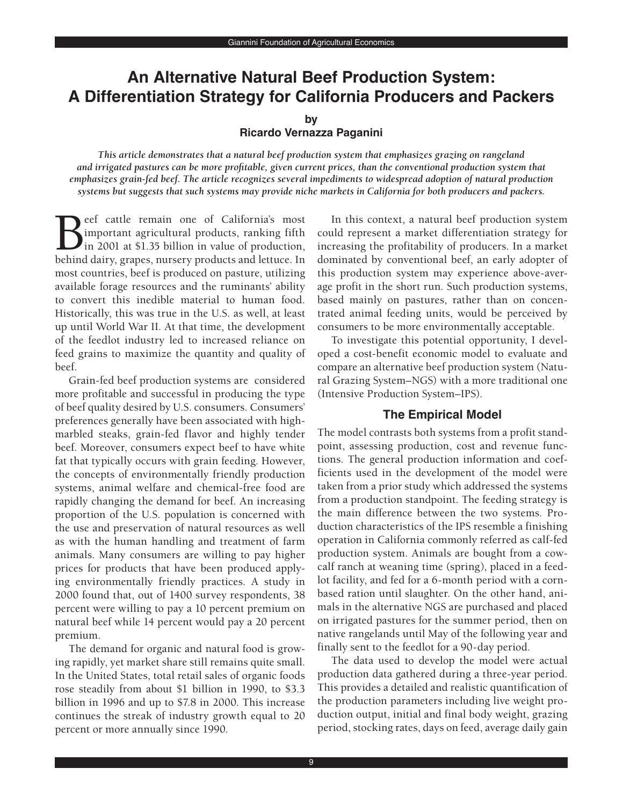# **An Alternative Natural Beef Production System: A Differentiation Strategy for California Producers and Packers**

#### **by**

### **Ricardo Vernazza Paganini**

*This article demonstrates that a natural beef production system that emphasizes grazing on rangeland and irrigated pastures can be more profitable, given current prices, than the conventional production system that emphasizes grain-fed beef. The article recognizes several impediments to widespread adoption of natural production systems but suggests that such systems may provide niche markets in California for both producers and packers.*

Beef cattle remain one of California's most<br>mportant agricultural products, ranking fifth<br>in 2001 at \$1.35 billion in value of production,<br>behind dairy grapes nursery products and lettuce In important agricultural products, ranking fifth in 2001 at \$1.35 billion in value of production, behind dairy, grapes, nursery products and lettuce. In most countries, beef is produced on pasture, utilizing available forage resources and the ruminants' ability to convert this inedible material to human food. Historically, this was true in the U.S. as well, at least up until World War II. At that time, the development of the feedlot industry led to increased reliance on feed grains to maximize the quantity and quality of beef.

Grain-fed beef production systems are considered more profitable and successful in producing the type of beef quality desired by U.S. consumers. Consumers' preferences generally have been associated with highmarbled steaks, grain-fed flavor and highly tender beef. Moreover, consumers expect beef to have white fat that typically occurs with grain feeding. However, the concepts of environmentally friendly production systems, animal welfare and chemical-free food are rapidly changing the demand for beef. An increasing proportion of the U.S. population is concerned with the use and preservation of natural resources as well as with the human handling and treatment of farm animals. Many consumers are willing to pay higher prices for products that have been produced applying environmentally friendly practices. A study in 2000 found that, out of 1400 survey respondents, 38 percent were willing to pay a 10 percent premium on natural beef while 14 percent would pay a 20 percent premium.

The demand for organic and natural food is growing rapidly, yet market share still remains quite small. In the United States, total retail sales of organic foods rose steadily from about \$1 billion in 1990, to \$3.3 billion in 1996 and up to \$7.8 in 2000. This increase continues the streak of industry growth equal to 20 percent or more annually since 1990.

In this context, a natural beef production system could represent a market differentiation strategy for increasing the profitability of producers. In a market dominated by conventional beef, an early adopter of this production system may experience above-average profit in the short run. Such production systems, based mainly on pastures, rather than on concentrated animal feeding units, would be perceived by consumers to be more environmentally acceptable.

To investigate this potential opportunity, I developed a cost-benefit economic model to evaluate and compare an alternative beef production system (Natural Grazing System–NGS) with a more traditional one (Intensive Production System–IPS).

# **The Empirical Model**

The model contrasts both systems from a profit standpoint, assessing production, cost and revenue functions. The general production information and coefficients used in the development of the model were taken from a prior study which addressed the systems from a production standpoint. The feeding strategy is the main difference between the two systems. Production characteristics of the IPS resemble a finishing operation in California commonly referred as calf-fed production system. Animals are bought from a cowcalf ranch at weaning time (spring), placed in a feedlot facility, and fed for a 6-month period with a cornbased ration until slaughter. On the other hand, animals in the alternative NGS are purchased and placed on irrigated pastures for the summer period, then on native rangelands until May of the following year and finally sent to the feedlot for a 90-day period.

The data used to develop the model were actual production data gathered during a three-year period. This provides a detailed and realistic quantification of the production parameters including live weight production output, initial and final body weight, grazing period, stocking rates, days on feed, average daily gain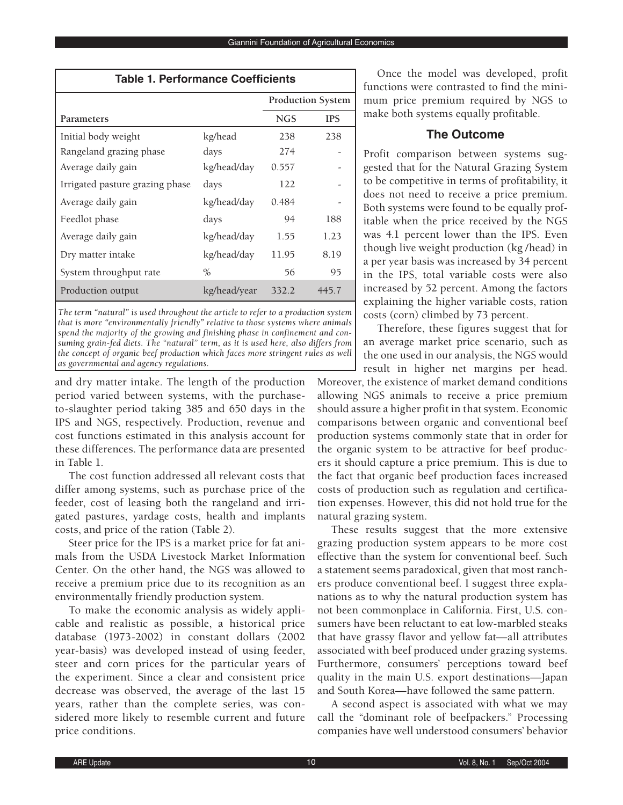| <b>Table 1. Performance Coefficients</b> |              |                          |            |  |  |
|------------------------------------------|--------------|--------------------------|------------|--|--|
|                                          |              | <b>Production System</b> |            |  |  |
| Parameters                               |              | <b>NGS</b>               | <b>IPS</b> |  |  |
| Initial body weight                      | kg/head      | 238                      | 238        |  |  |
| Rangeland grazing phase                  | days         | 274                      |            |  |  |
| Average daily gain                       | kg/head/day  | 0.557                    |            |  |  |
| Irrigated pasture grazing phase          | days         | 122                      |            |  |  |
| Average daily gain                       | kg/head/day  | 0.484                    |            |  |  |
| Feedlot phase                            | days         | 94                       | 188        |  |  |
| Average daily gain                       | kg/head/day  | 1.55                     | 1.23       |  |  |
| Dry matter intake                        | kg/head/day  | 11.95                    | 8.19       |  |  |
| System throughput rate                   | $\%$         | 56                       | 95         |  |  |
| Production output                        | kg/head/year | 332.2                    | 445.7      |  |  |

*The term "natural" is used throughout the article to refer to a production system that is more "environmentally friendly" relative to those systems where animals spend the majority of the growing and finishing phase in confinement and consuming grain-fed diets. The "natural" term, as it is used here, also differs from the concept of organic beef production which faces more stringent rules as well as governmental and agency regulations.* 

and dry matter intake. The length of the production period varied between systems, with the purchaseto-slaughter period taking 385 and 650 days in the IPS and NGS, respectively. Production, revenue and cost functions estimated in this analysis account for these differences. The performance data are presented in Table 1.

The cost function addressed all relevant costs that differ among systems, such as purchase price of the feeder, cost of leasing both the rangeland and irrigated pastures, yardage costs, health and implants costs, and price of the ration (Table 2).

Steer price for the IPS is a market price for fat animals from the USDA Livestock Market Information Center. On the other hand, the NGS was allowed to receive a premium price due to its recognition as an environmentally friendly production system.

To make the economic analysis as widely applicable and realistic as possible, a historical price database (1973-2002) in constant dollars (2002 year-basis) was developed instead of using feeder, steer and corn prices for the particular years of the experiment. Since a clear and consistent price decrease was observed, the average of the last 15 years, rather than the complete series, was considered more likely to resemble current and future price conditions.

Once the model was developed, profit functions were contrasted to find the minimum price premium required by NGS to make both systems equally profitable.

## **The Outcome**

Profit comparison between systems suggested that for the Natural Grazing System to be competitive in terms of profitability, it does not need to receive a price premium. Both systems were found to be equally profitable when the price received by the NGS was 4.1 percent lower than the IPS. Even though live weight production (kg /head) in a per year basis was increased by 34 percent in the IPS, total variable costs were also increased by 52 percent. Among the factors explaining the higher variable costs, ration costs (corn) climbed by 73 percent.

Therefore, these figures suggest that for an average market price scenario, such as the one used in our analysis, the NGS would result in higher net margins per head.

Moreover, the existence of market demand conditions allowing NGS animals to receive a price premium should assure a higher profit in that system. Economic comparisons between organic and conventional beef production systems commonly state that in order for the organic system to be attractive for beef producers it should capture a price premium. This is due to the fact that organic beef production faces increased costs of production such as regulation and certification expenses. However, this did not hold true for the natural grazing system.

These results suggest that the more extensive grazing production system appears to be more cost effective than the system for conventional beef. Such a statement seems paradoxical, given that most ranchers produce conventional beef. I suggest three explanations as to why the natural production system has not been commonplace in California. First, U.S. consumers have been reluctant to eat low-marbled steaks that have grassy flavor and yellow fat—all attributes associated with beef produced under grazing systems. Furthermore, consumers' perceptions toward beef quality in the main U.S. export destinations—Japan and South Korea—have followed the same pattern.

A second aspect is associated with what we may call the "dominant role of beefpackers." Processing companies have well understood consumers' behavior